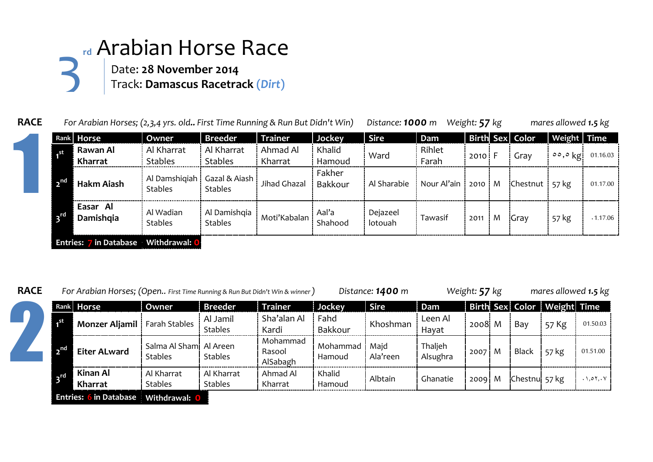## **rd** Arabian Horse Race Date: **28 November 2014** Track: **Damascus Racetrack (***Dirt***)** 3

|              | Rank Horse            | Owner                       | Breeder                                           | <b>Trainer</b>      | Jockey            | <b>Sire</b>         | Dam             |          |   | Birth Sex Color            | Weight Time                |          |
|--------------|-----------------------|-----------------------------|---------------------------------------------------|---------------------|-------------------|---------------------|-----------------|----------|---|----------------------------|----------------------------|----------|
| .st          | Rawan Al<br>Kharrat   | Al Kharrat<br>Stables       | Al Kharrat<br><b>Stables</b>                      | Ahmad Al<br>Kharrat | Khalid<br>Hamoud  | Ward                | Rihlet<br>Farah | $2010$ F |   | Gray                       | $\circ \circ$ , $\circ$ kg | 01.16.03 |
| $\mathbf{R}$ | Hakm Aiash            | <b>Stables</b>              | Al Damshiqiah   Gazal & Aiash  <br><b>Stables</b> | Jihad Ghazal        | Fakher<br>Bakkour | Al Sharabie         | Nour Al'ain     | $2010$ M |   | Chestnut $\frac{1}{57}$ kg |                            | 01.17.00 |
|              | Easar Al<br>Damishqia | Al Wadian<br><b>Stables</b> | Al Damishqia<br>Stables                           | Moti'Kabalan        | Aal'a<br>Shahood  | Dejazeel<br>lotouah | Tawasif         | 2011     | M | <b>Gray</b>                | 57 kg                      | .1.17.06 |



**RACE** *For Arabian Horses; (Open.. First Time Running & Run But Didn't Win & winner ) Distance: 1400 m Weight: 57 kg mares allowed 1.5 kg*



|                           | Rank Horse                    | Owner                                     | <b>Breeder</b>               | <b>Trainer</b>                 | Jockey             | <b>Sire</b>      | Dam                 |      |   |                | Birth Sex Color Weight Time |                       |
|---------------------------|-------------------------------|-------------------------------------------|------------------------------|--------------------------------|--------------------|------------------|---------------------|------|---|----------------|-----------------------------|-----------------------|
|                           | <b>Monzer Aljamil</b>         | Farah Stables                             | Al Jamil<br><b>Stables</b>   | Sha'alan Al<br>Kardi           | Fahd<br>Bakkour    | Khoshman         | Leen Al<br>Havat    | 2008 | M | Bay            | 57 Kg                       | 01.50.03              |
| 2 <sup>nd</sup>           | <b>Eiter ALward</b>           | Salma Al Sham! Al Areen<br><b>Stables</b> | <b>Stables</b>               | Mohammad<br>Rasool<br>AlSabagh | Mohammad<br>Hamoud | Majd<br>Ala'reen | Thaljeh<br>Alsughra | 2007 | M | <b>Black</b>   | 57 kg                       | 01.51.00              |
| $\mathbf{B}^{\text{ref}}$ | Kinan Al<br>Kharrat           | Al Kharrat<br><b>Stables</b>              | Al Kharrat<br><b>Stables</b> | Ahmad Al<br>Kharrat            | Khalid<br>Hamoud   | Albtain          | Ghanatie            | 2009 | M | Chestnul 57 kg |                             | $. \setminus .07, .V$ |
|                           | <b>Entries: 6 in Database</b> | Withdrawal: 0                             |                              |                                |                    |                  |                     |      |   |                |                             |                       |